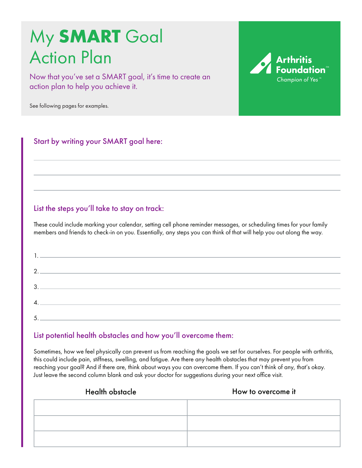# My **SMART** Goal Action Plan

Now that you've set a SMART goal, it's time to create an action plan to help you achieve it.

See following pages for examples.

Start by writing your SMART goal here:

# List the steps you'll take to stay on track:

These could include marking your calendar, setting cell phone reminder messages, or scheduling times for your family members and friends to check-in on you. Essentially, any steps you can think of that will help you out along the way.

| 2.              |
|-----------------|
|                 |
| $\mathcal{A}$ . |
|                 |
|                 |

## List potential health obstacles and how you'll overcome them:

Sometimes, how we feel physically can prevent us from reaching the goals we set for ourselves. For people with arthritis, this could include pain, stiffness, swelling, and fatigue. Are there any health obstacles that may prevent you from reaching your goal? And if there are, think about ways you can overcome them. If you can't think of any, that's okay. Just leave the second column blank and ask your doctor for suggestions during your next office visit.

| <b>Health obstacle</b> | How to overcome it |
|------------------------|--------------------|
|                        |                    |
|                        |                    |
|                        |                    |

Arthritis **Champion of Yes**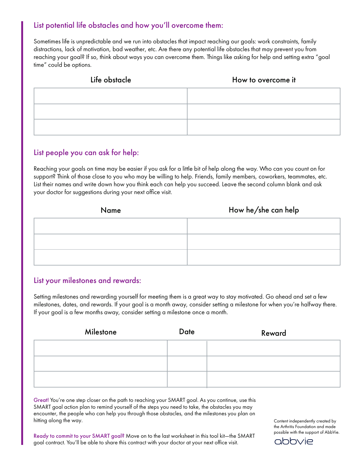## List potential life obstacles and how you'll overcome them:

Sometimes life is unpredictable and we run into obstacles that impact reaching our goals: work constraints, family distractions, lack of motivation, bad weather, etc. Are there any potential life obstacles that may prevent you from reaching your goal? If so, think about ways you can overcome them. Things like asking for help and setting extra "goal time" could be options.

| Life obstacle | How to overcome it |
|---------------|--------------------|
|               |                    |
|               |                    |
|               |                    |

## List people you can ask for help:

Reaching your goals on time may be easier if you ask for a little bit of help along the way. Who can you count on for support? Think of those close to you who may be willing to help. Friends, family members, coworkers, teammates, etc. List their names and write down how you think each can help you succeed. Leave the second column blank and ask your doctor for suggestions during your next office visit.

# Name How he/she can help

## List your milestones and rewards:

Setting milestones and rewarding yourself for meeting them is a great way to stay motivated. Go ahead and set a few milestones, dates, and rewards. If your goal is a month away, consider setting a milestone for when you're halfway there. If your goal is a few months away, consider setting a milestone once a month.

| Milestone | <b>Date</b> | Reward |
|-----------|-------------|--------|
|           |             |        |
|           |             |        |
|           |             |        |

Great! You're one step closer on the path to reaching your SMART goal. As you continue, use this SMART goal action plan to remind yourself of the steps you need to take, the obstacles you may encounter, the people who can help you through those obstacles, and the milestones you plan on hitting along the way.

Ready to commit to your SMART goal? Move on to the last worksheet in this tool kit-the SMART goal contract. You'll be able to share this contract with your doctor at your next office visit.

Content independently created by the Arthritis Foundation and made possible with the support of AbbVie.

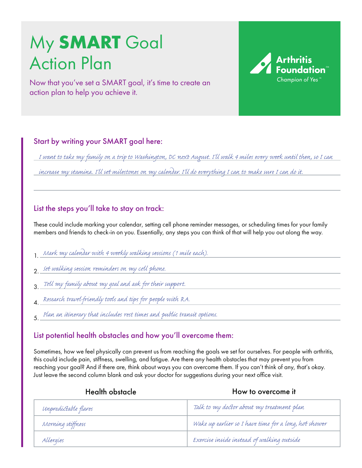# My **SMART** Goal Action Plan

Now that you've set a SMART goal, it's time to create an action plan to help you achieve it.

## Start by writing your SMART goal here:

*I want to take my family on a trip to Washington, DC next August. I'll walk 4 miles every week until then, so I can*

**Arthritis** 

Champion of Yes

*increase my stamina. I'll set milestones on my calendar. I'll do everything I can to make sure I can do it.*

#### List the steps you'll take to stay on track:

These could include marking your calendar, setting cell phone reminder messages, or scheduling times for your family members and friends to check-in on you. Essentially, any steps you can think of that will help you out along the way.

- 1. *Mark my calendar with 4 weekly walking sessions (1 mile each).*
- 2. *Set walking session reminders on my cell phone.*
- 3. *Tell my family about my goal and ask for their support.*
- 4. *Research travel-friendly tools and tips for people with RA.*
- 5. *Plan an itinerary that includes rest times and public transit options.*

## List potential health obstacles and how you'll overcome them:

Sometimes, how we feel physically can prevent us from reaching the goals we set for ourselves. For people with arthritis, this could include pain, stiffness, swelling, and fatigue. Are there any health obstacles that may prevent you from reaching your goal? And if there are, think about ways you can overcome them. If you can't think of any, that's okay. Just leave the second column blank and ask your doctor for suggestions during your next office visit.

| Health obstacle      | How to overcome it                                    |
|----------------------|-------------------------------------------------------|
| Unpredictable flares | Talk to my doctor about my treatment plan             |
| Morning stiffness    | Wake up earlier so I have time for a long, hot shower |
| Allergies            | Exercise inside instead of walking outside            |